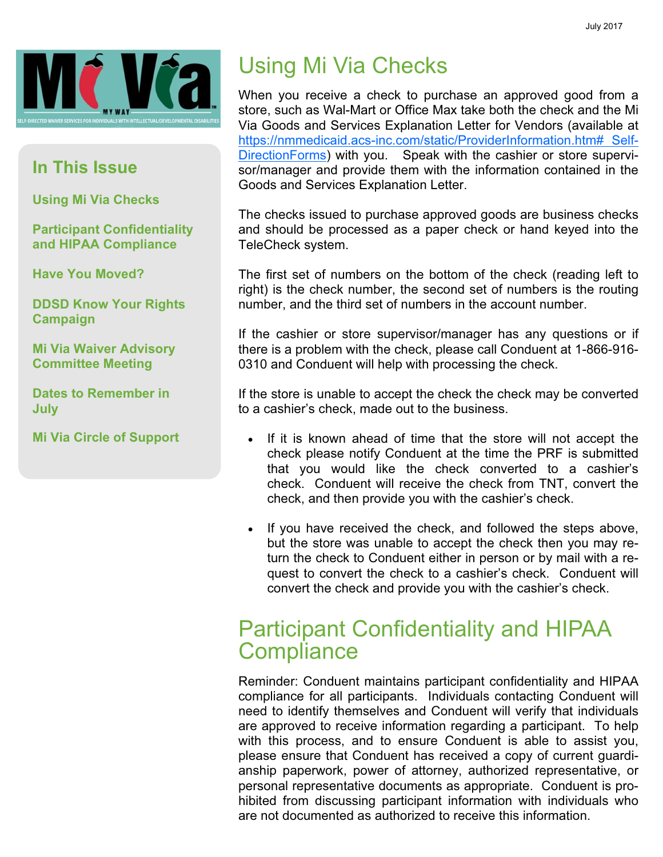

#### In This Issue

Using Mi Via Checks

Participant Confidentiality and HIPAA Compliance

Have You Moved?

DDSD Know Your Rights Campaign

Mi Via Waiver Advisory Committee Meeting

Dates to Remember in July

Mi Via Circle of Support

# Using Mi Via Checks

When you receive a check to purchase an approved good from a store, such as Wal-Mart or Office Max take both the check and the Mi Via Goods and Services Explanation Letter for Vendors (available at https://nmmedicaid.acs-inc.com/static/ProviderInformation.htm# Self-DirectionForms) with you. Speak with the cashier or store supervisor/manager and provide them with the information contained in the Goods and Services Explanation Letter.

The checks issued to purchase approved goods are business checks and should be processed as a paper check or hand keyed into the TeleCheck system.

The first set of numbers on the bottom of the check (reading left to right) is the check number, the second set of numbers is the routing number, and the third set of numbers in the account number.

If the cashier or store supervisor/manager has any questions or if there is a problem with the check, please call Conduent at 1-866-916- 0310 and Conduent will help with processing the check.

If the store is unable to accept the check the check may be converted to a cashier's check, made out to the business.

- If it is known ahead of time that the store will not accept the check please notify Conduent at the time the PRF is submitted that you would like the check converted to a cashier's check. Conduent will receive the check from TNT, convert the check, and then provide you with the cashier's check.
- If you have received the check, and followed the steps above, but the store was unable to accept the check then you may return the check to Conduent either in person or by mail with a request to convert the check to a cashier's check. Conduent will convert the check and provide you with the cashier's check.

#### Participant Confidentiality and HIPAA **Compliance**

Reminder: Conduent maintains participant confidentiality and HIPAA compliance for all participants. Individuals contacting Conduent will need to identify themselves and Conduent will verify that individuals are approved to receive information regarding a participant. To help with this process, and to ensure Conduent is able to assist you, please ensure that Conduent has received a copy of current guardianship paperwork, power of attorney, authorized representative, or personal representative documents as appropriate. Conduent is prohibited from discussing participant information with individuals who are not documented as authorized to receive this information.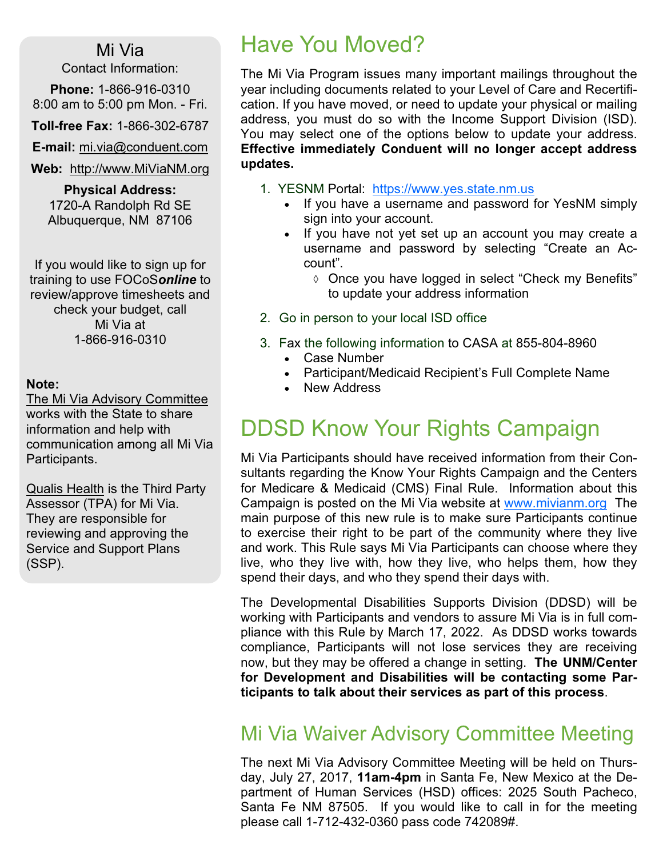#### Mi Via

Contact Information:

Phone: 1-866-916-0310 8:00 am to 5:00 pm Mon. - Fri.

Toll-free Fax: 1-866-302-6787

E-mail: mi.via@conduent.com

Web: http://www.MiViaNM.org

Physical Address: 1720-A Randolph Rd SE Albuquerque, NM 87106

If you would like to sign up for training to use FOCoSonline to review/approve timesheets and check your budget, call Mi Via at 1-866-916-0310

#### Note:

The Mi Via Advisory Committee works with the State to share information and help with communication among all Mi Via Participants.

Qualis Health is the Third Party Assessor (TPA) for Mi Via. They are responsible for reviewing and approving the Service and Support Plans (SSP).

### Have You Moved?

The Mi Via Program issues many important mailings throughout the year including documents related to your Level of Care and Recertification. If you have moved, or need to update your physical or mailing address, you must do so with the Income Support Division (ISD). You may select one of the options below to update your address. Effective immediately Conduent will no longer accept address updates.

- 1. YESNM Portal: https://www.yes.state.nm.us
	- If you have a username and password for YesNM simply sign into your account.
	- If you have not yet set up an account you may create a username and password by selecting "Create an Account".
		- ◊ Once you have logged in select "Check my Benefits" to update your address information
- 2. Go in person to your local ISD office
- 3. Fax the following information to CASA at 855-804-8960
	- Case Number
	- Participant/Medicaid Recipient's Full Complete Name
	- New Address

#### DDSD Know Your Rights Campaign

Mi Via Participants should have received information from their Consultants regarding the Know Your Rights Campaign and the Centers for Medicare & Medicaid (CMS) Final Rule. Information about this Campaign is posted on the Mi Via website at www.mivianm.org The main purpose of this new rule is to make sure Participants continue to exercise their right to be part of the community where they live and work. This Rule says Mi Via Participants can choose where they live, who they live with, how they live, who helps them, how they spend their days, and who they spend their days with.

The Developmental Disabilities Supports Division (DDSD) will be working with Participants and vendors to assure Mi Via is in full compliance with this Rule by March 17, 2022. As DDSD works towards compliance, Participants will not lose services they are receiving now, but they may be offered a change in setting. The UNM/Center for Development and Disabilities will be contacting some Participants to talk about their services as part of this process.

#### Mi Via Waiver Advisory Committee Meeting

The next Mi Via Advisory Committee Meeting will be held on Thursday, July 27, 2017, 11am-4pm in Santa Fe, New Mexico at the Department of Human Services (HSD) offices: 2025 South Pacheco, Santa Fe NM 87505. If you would like to call in for the meeting please call 1-712-432-0360 pass code 742089#.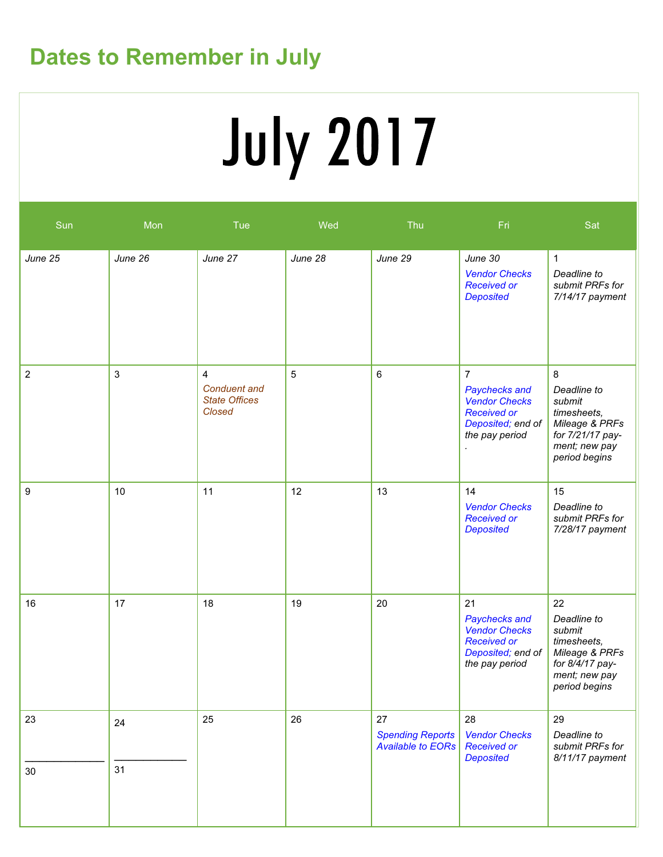## Dates to Remember in July

# **July 2017**

| Sun              | Mon      | Tue                                                                            | Wed     | Thu                                                       | Fri                                                                                                                  | Sat                                                                                                               |
|------------------|----------|--------------------------------------------------------------------------------|---------|-----------------------------------------------------------|----------------------------------------------------------------------------------------------------------------------|-------------------------------------------------------------------------------------------------------------------|
| June 25          | June 26  | June 27                                                                        | June 28 | June 29                                                   | June 30<br><b>Vendor Checks</b><br><b>Received or</b><br><b>Deposited</b>                                            | $\mathbf{1}$<br>Deadline to<br>submit PRFs for<br>7/14/17 payment                                                 |
| $\boldsymbol{2}$ | 3        | $\overline{4}$<br><b>Conduent</b> and<br><b>State Offices</b><br><b>Closed</b> | 5       | 6                                                         | $\overline{7}$<br>Paychecks and<br><b>Vendor Checks</b><br><b>Received or</b><br>Deposited; end of<br>the pay period | 8<br>Deadline to<br>submit<br>timesheets,<br>Mileage & PRFs<br>for 7/21/17 pay-<br>ment; new pay<br>period begins |
| 9                | 10       | 11                                                                             | 12      | 13                                                        | 14<br><b>Vendor Checks</b><br><b>Received or</b><br><b>Deposited</b>                                                 | 15<br>Deadline to<br>submit PRFs for<br>7/28/17 payment                                                           |
| 16               | 17       | 18                                                                             | 19      | 20                                                        | 21<br>Paychecks and<br><b>Vendor Checks</b><br><b>Received or</b><br>Deposited; end of<br>the pay period             | 22<br>Deadline to<br>submit<br>timesheets,<br>Mileage & PRFs<br>for 8/4/17 pay-<br>ment; new pay<br>period begins |
| 23<br>$30\,$     | 24<br>31 | 25                                                                             | 26      | 27<br><b>Spending Reports</b><br><b>Available to EORs</b> | 28<br><b>Vendor Checks</b><br><b>Received or</b><br><b>Deposited</b>                                                 | 29<br>Deadline to<br>submit PRFs for<br>8/11/17 payment                                                           |